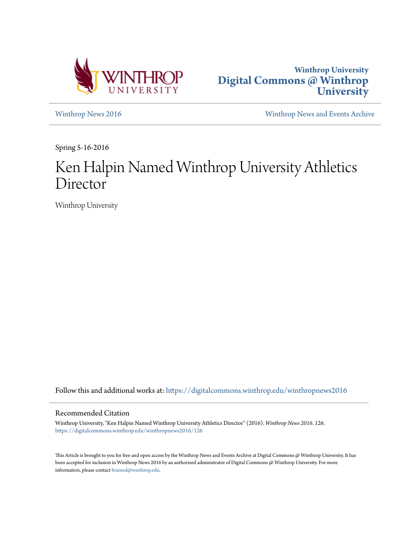



[Winthrop News 2016](https://digitalcommons.winthrop.edu/winthropnews2016?utm_source=digitalcommons.winthrop.edu%2Fwinthropnews2016%2F126&utm_medium=PDF&utm_campaign=PDFCoverPages) [Winthrop News and Events Archive](https://digitalcommons.winthrop.edu/winthropnewsarchives?utm_source=digitalcommons.winthrop.edu%2Fwinthropnews2016%2F126&utm_medium=PDF&utm_campaign=PDFCoverPages)

Spring 5-16-2016

## Ken Halpin Named Winthrop University Athletics **Director**

Winthrop University

Follow this and additional works at: [https://digitalcommons.winthrop.edu/winthropnews2016](https://digitalcommons.winthrop.edu/winthropnews2016?utm_source=digitalcommons.winthrop.edu%2Fwinthropnews2016%2F126&utm_medium=PDF&utm_campaign=PDFCoverPages)

## Recommended Citation

Winthrop University, "Ken Halpin Named Winthrop University Athletics Director" (2016). *Winthrop News 2016*. 126. [https://digitalcommons.winthrop.edu/winthropnews2016/126](https://digitalcommons.winthrop.edu/winthropnews2016/126?utm_source=digitalcommons.winthrop.edu%2Fwinthropnews2016%2F126&utm_medium=PDF&utm_campaign=PDFCoverPages)

This Article is brought to you for free and open access by the Winthrop News and Events Archive at Digital Commons @ Winthrop University. It has been accepted for inclusion in Winthrop News 2016 by an authorized administrator of Digital Commons @ Winthrop University. For more information, please contact [bramed@winthrop.edu](mailto:bramed@winthrop.edu).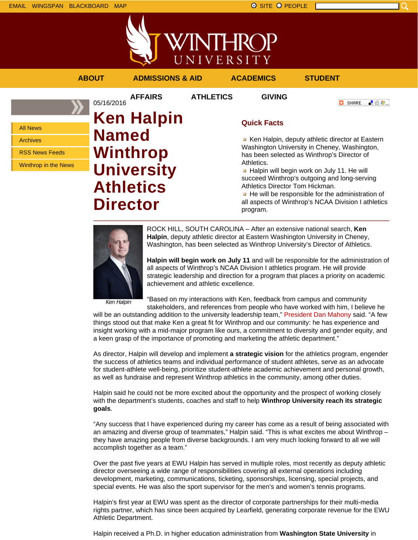



## **ABOUT ADMISSIONS & AID ACADEMICS STUDENT AFFAIRS ATHLETICS GIVING** 05/16/2016 **O** SHARE 上脸身。 **Ken Halpin Quick Facts** All News **Named** Ken Halpin, deputy athletic director at Eastern Archives Washington University in Cheney, Washington, **Winthrop** RSS News Feeds has been selected as Winthrop's Director of Athletics. **University** Winthrop in the News **Halpin will begin work on July 11. He will** succeed Winthrop's outgoing and long-serving **Athletics** Athletics Director Tom Hickman.  $\blacksquare$  He will be responsible for the administration of **Director** all aspects of Winthrop's NCAA Division I athletics program.



ROCK HILL, SOUTH CAROLINA – After an extensive national search, **Ken Halpin**, deputy athletic director at Eastern Washington University in Cheney, Washington, has been selected as Winthrop University's Director of Athletics.

**Halpin will begin work on July 11** and will be responsible for the administration of all aspects of Winthrop's NCAA Division I athletics program. He will provide strategic leadership and direction for a program that places a priority on academic achievement and athletic excellence.

Ken Halpin

"Based on my interactions with Ken, feedback from campus and community stakeholders, and references from people who have worked with him, I believe he

will be an outstanding addition to the university leadership team," President Dan Mahony said. "A few things stood out that make Ken a great fit for Winthrop and our community: he has experience and insight working with a mid-major program like ours, a commitment to diversity and gender equity, and a keen grasp of the importance of promoting and marketing the athletic department."

As director, Halpin will develop and implement **a strategic vision** for the athletics program, engender the success of athletics teams and individual performance of student athletes, serve as an advocate for student-athlete well-being, prioritize student-athlete academic achievement and personal growth, as well as fundraise and represent Winthrop athletics in the community, among other duties.

Halpin said he could not be more excited about the opportunity and the prospect of working closely with the department's students, coaches and staff to help **Winthrop University reach its strategic goals**.

"Any success that I have experienced during my career has come as a result of being associated with an amazing and diverse group of teammates," Halpin said. "This is what excites me about Winthrop – they have amazing people from diverse backgrounds. I am very much looking forward to all we will accomplish together as a team."

Over the past five years at EWU Halpin has served in multiple roles, most recently as deputy athletic director overseeing a wide range of responsibilities covering all external operations including development, marketing, communications, ticketing, sponsorships, licensing, special projects, and special events. He was also the sport supervisor for the men's and women's tennis programs.

Halpin's first year at EWU was spent as the director of corporate partnerships for their multi-media rights partner, which has since been acquired by Learfield, generating corporate revenue for the EWU Athletic Department.

Halpin received a Ph.D. in higher education administration from **Washington State University** in